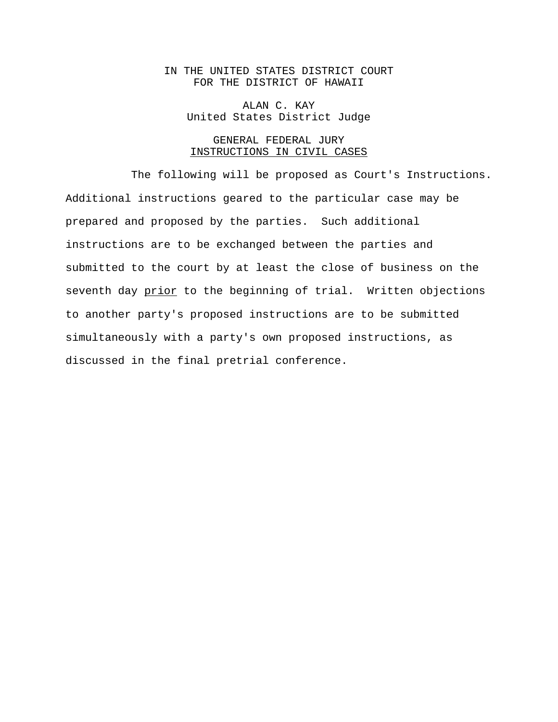## IN THE UNITED STATES DISTRICT COURT FOR THE DISTRICT OF HAWAII

ALAN C. KAY United States District Judge

### GENERAL FEDERAL JURY INSTRUCTIONS IN CIVIL CASES

The following will be proposed as Court's Instructions. Additional instructions geared to the particular case may be prepared and proposed by the parties. Such additional instructions are to be exchanged between the parties and submitted to the court by at least the close of business on the seventh day prior to the beginning of trial. Written objections to another party's proposed instructions are to be submitted simultaneously with a party's own proposed instructions, as discussed in the final pretrial conference.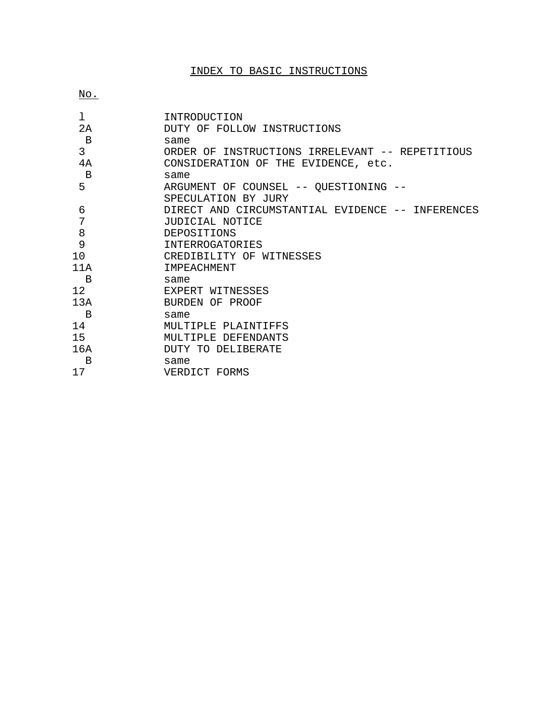# INDEX TO BASIC INSTRUCTIONS

No.

| 1            | INTRODUCTION                                     |
|--------------|--------------------------------------------------|
| 2А           | DUTY OF FOLLOW INSTRUCTIONS                      |
| $\mathbf B$  | same                                             |
| 3            | ORDER OF INSTRUCTIONS IRRELEVANT -- REPETITIOUS  |
| 4A           | CONSIDERATION OF THE EVIDENCE, etc.              |
| $\mathbf{B}$ | same                                             |
| 5            | ARGUMENT OF COUNSEL -- QUESTIONING --            |
|              | SPECULATION BY JURY                              |
| 6            | DIRECT AND CIRCUMSTANTIAL EVIDENCE -- INFERENCES |
| 7            | JUDICIAL NOTICE                                  |
| 8            | DEPOSITIONS                                      |
| 9            | <b>INTERROGATORIES</b>                           |
| 10           | CREDIBILITY OF WITNESSES                         |
| 11A          | <b>TMPEACHMENT</b>                               |
| B            | same                                             |
| 12           | EXPERT WITNESSES                                 |
| 13A          | BURDEN OF PROOF                                  |
| B            | same                                             |
| 14           | MULTIPLE PLAINTIFFS                              |
| 15           | MULTIPLE DEFENDANTS                              |
| 16A          | DUTY TO DELIBERATE                               |
| B            | same                                             |
| 17           | VERDICT FORMS                                    |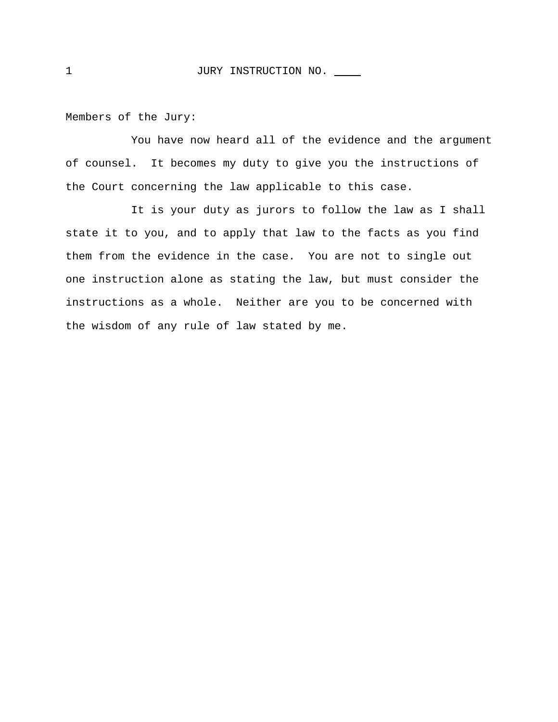Members of the Jury:

You have now heard all of the evidence and the argument of counsel. It becomes my duty to give you the instructions of the Court concerning the law applicable to this case.

It is your duty as jurors to follow the law as I shall state it to you, and to apply that law to the facts as you find them from the evidence in the case. You are not to single out one instruction alone as stating the law, but must consider the instructions as a whole. Neither are you to be concerned with the wisdom of any rule of law stated by me.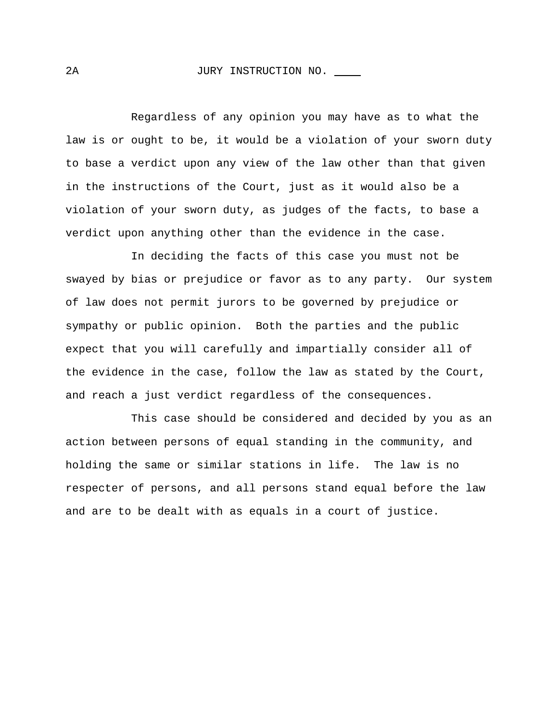#### 2A JURY INSTRUCTION NO.

Regardless of any opinion you may have as to what the law is or ought to be, it would be a violation of your sworn duty to base a verdict upon any view of the law other than that given in the instructions of the Court, just as it would also be a violation of your sworn duty, as judges of the facts, to base a verdict upon anything other than the evidence in the case.

In deciding the facts of this case you must not be swayed by bias or prejudice or favor as to any party. Our system of law does not permit jurors to be governed by prejudice or sympathy or public opinion. Both the parties and the public expect that you will carefully and impartially consider all of the evidence in the case, follow the law as stated by the Court, and reach a just verdict regardless of the consequences.

This case should be considered and decided by you as an action between persons of equal standing in the community, and holding the same or similar stations in life. The law is no respecter of persons, and all persons stand equal before the law and are to be dealt with as equals in a court of justice.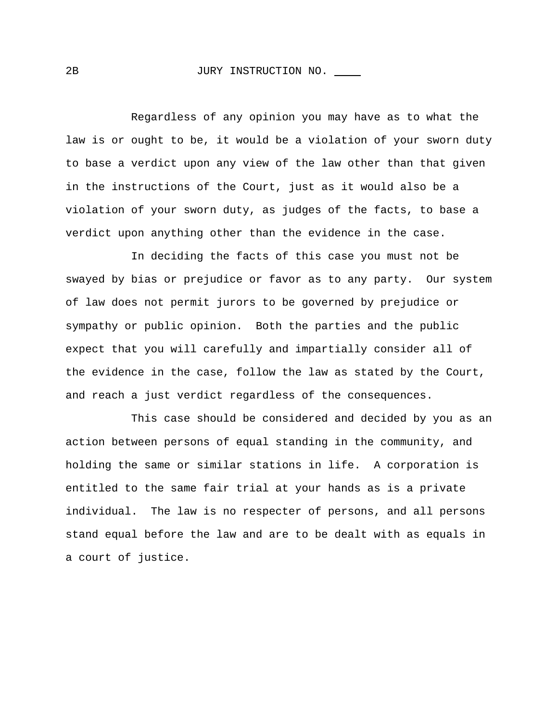#### 2B JURY INSTRUCTION NO.

Regardless of any opinion you may have as to what the law is or ought to be, it would be a violation of your sworn duty to base a verdict upon any view of the law other than that given in the instructions of the Court, just as it would also be a violation of your sworn duty, as judges of the facts, to base a verdict upon anything other than the evidence in the case.

In deciding the facts of this case you must not be swayed by bias or prejudice or favor as to any party. Our system of law does not permit jurors to be governed by prejudice or sympathy or public opinion. Both the parties and the public expect that you will carefully and impartially consider all of the evidence in the case, follow the law as stated by the Court, and reach a just verdict regardless of the consequences.

This case should be considered and decided by you as an action between persons of equal standing in the community, and holding the same or similar stations in life. A corporation is entitled to the same fair trial at your hands as is a private individual. The law is no respecter of persons, and all persons stand equal before the law and are to be dealt with as equals in a court of justice.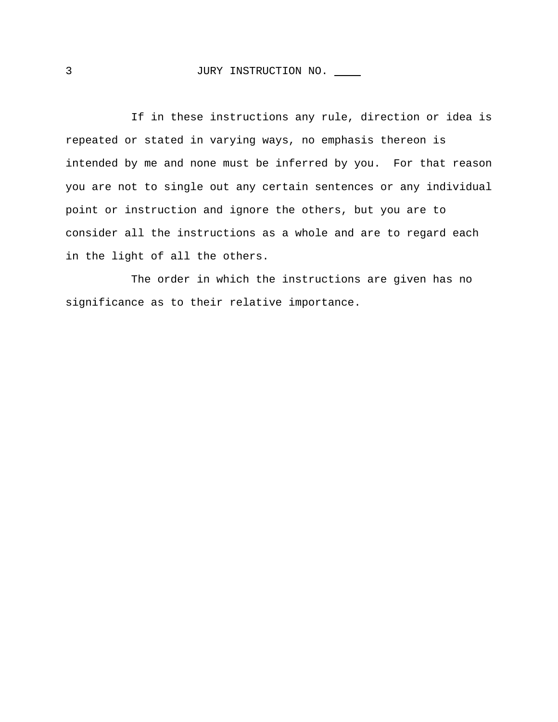If in these instructions any rule, direction or idea is repeated or stated in varying ways, no emphasis thereon is intended by me and none must be inferred by you. For that reason you are not to single out any certain sentences or any individual point or instruction and ignore the others, but you are to consider all the instructions as a whole and are to regard each in the light of all the others.

The order in which the instructions are given has no significance as to their relative importance.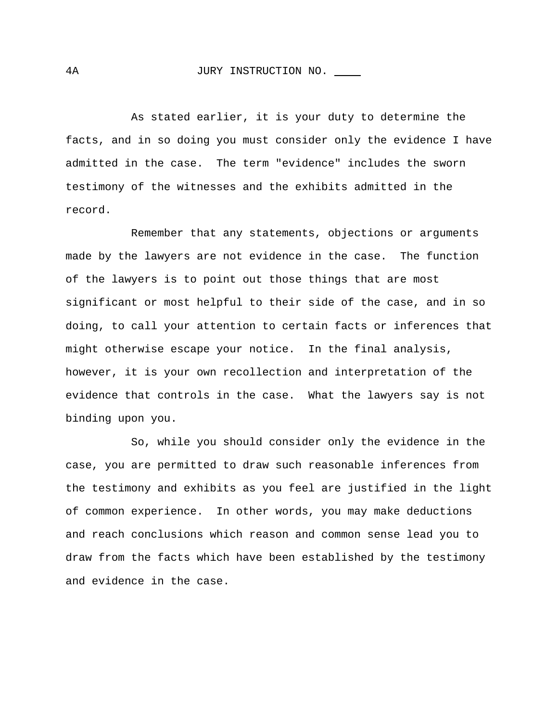#### 4A JURY INSTRUCTION NO.

As stated earlier, it is your duty to determine the facts, and in so doing you must consider only the evidence I have admitted in the case. The term "evidence" includes the sworn testimony of the witnesses and the exhibits admitted in the record.

Remember that any statements, objections or arguments made by the lawyers are not evidence in the case. The function of the lawyers is to point out those things that are most significant or most helpful to their side of the case, and in so doing, to call your attention to certain facts or inferences that might otherwise escape your notice. In the final analysis, however, it is your own recollection and interpretation of the evidence that controls in the case. What the lawyers say is not binding upon you.

So, while you should consider only the evidence in the case, you are permitted to draw such reasonable inferences from the testimony and exhibits as you feel are justified in the light of common experience. In other words, you may make deductions and reach conclusions which reason and common sense lead you to draw from the facts which have been established by the testimony and evidence in the case.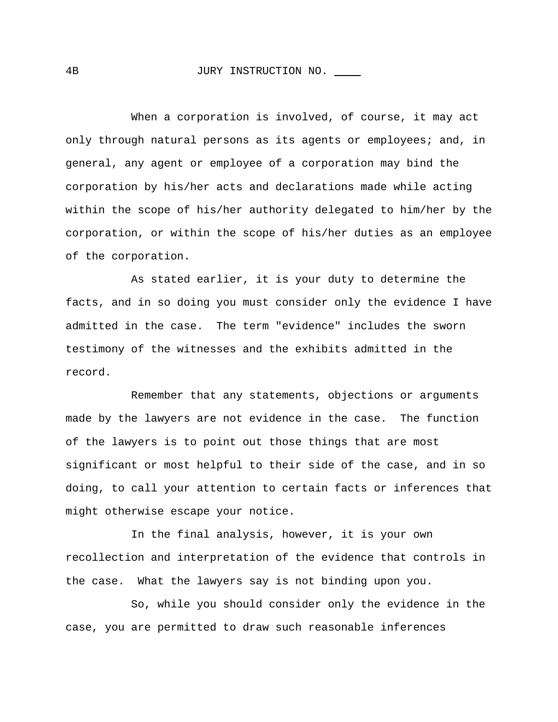#### 4B JURY INSTRUCTION NO.

When a corporation is involved, of course, it may act only through natural persons as its agents or employees; and, in general, any agent or employee of a corporation may bind the corporation by his/her acts and declarations made while acting within the scope of his/her authority delegated to him/her by the corporation, or within the scope of his/her duties as an employee of the corporation.

As stated earlier, it is your duty to determine the facts, and in so doing you must consider only the evidence I have admitted in the case. The term "evidence" includes the sworn testimony of the witnesses and the exhibits admitted in the record.

Remember that any statements, objections or arguments made by the lawyers are not evidence in the case. The function of the lawyers is to point out those things that are most significant or most helpful to their side of the case, and in so doing, to call your attention to certain facts or inferences that might otherwise escape your notice.

In the final analysis, however, it is your own recollection and interpretation of the evidence that controls in the case. What the lawyers say is not binding upon you.

So, while you should consider only the evidence in the case, you are permitted to draw such reasonable inferences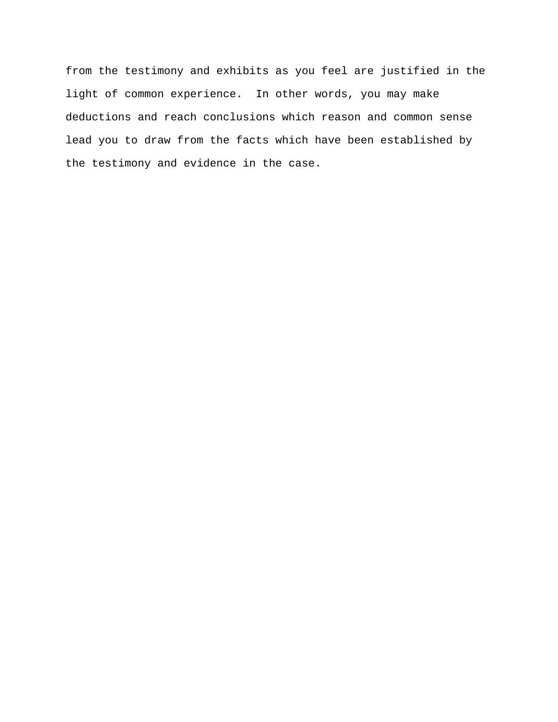from the testimony and exhibits as you feel are justified in the light of common experience. In other words, you may make deductions and reach conclusions which reason and common sense lead you to draw from the facts which have been established by the testimony and evidence in the case.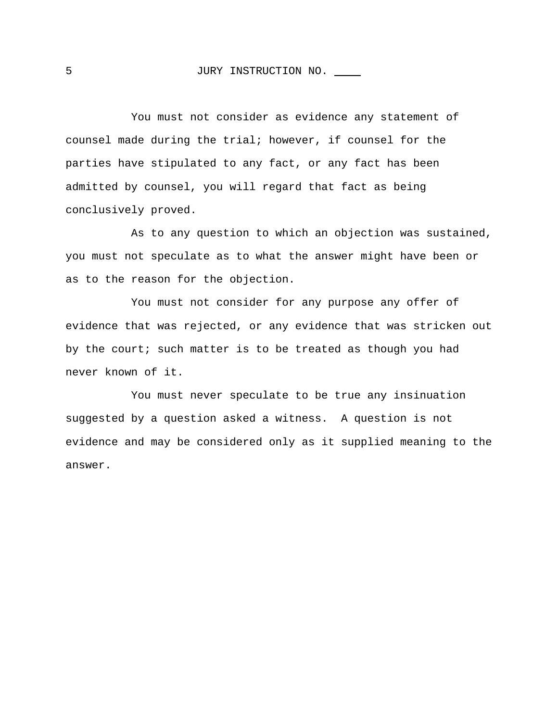You must not consider as evidence any statement of counsel made during the trial; however, if counsel for the parties have stipulated to any fact, or any fact has been admitted by counsel, you will regard that fact as being conclusively proved.

As to any question to which an objection was sustained, you must not speculate as to what the answer might have been or as to the reason for the objection.

You must not consider for any purpose any offer of evidence that was rejected, or any evidence that was stricken out by the court; such matter is to be treated as though you had never known of it.

You must never speculate to be true any insinuation suggested by a question asked a witness. A question is not evidence and may be considered only as it supplied meaning to the answer.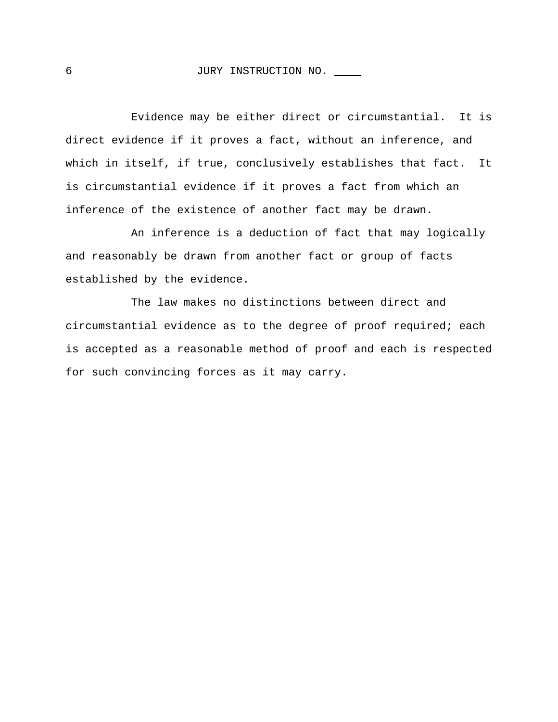Evidence may be either direct or circumstantial. It is direct evidence if it proves a fact, without an inference, and which in itself, if true, conclusively establishes that fact. It is circumstantial evidence if it proves a fact from which an inference of the existence of another fact may be drawn.

An inference is a deduction of fact that may logically and reasonably be drawn from another fact or group of facts established by the evidence.

The law makes no distinctions between direct and circumstantial evidence as to the degree of proof required; each is accepted as a reasonable method of proof and each is respected for such convincing forces as it may carry.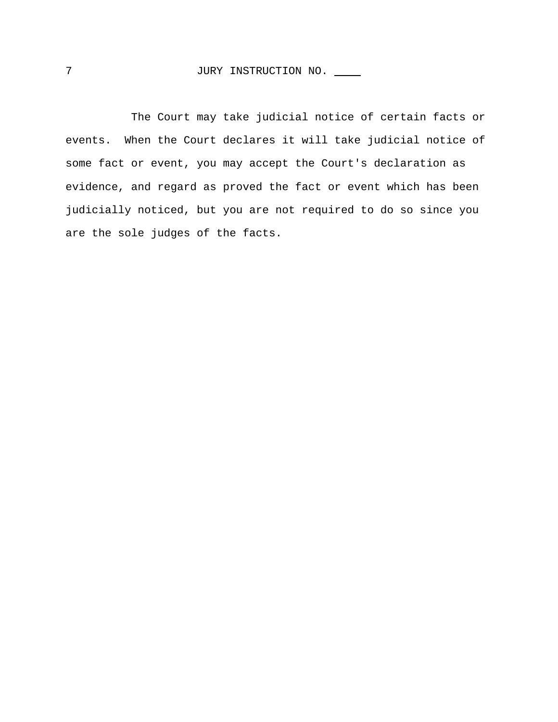The Court may take judicial notice of certain facts or events. When the Court declares it will take judicial notice of some fact or event, you may accept the Court's declaration as evidence, and regard as proved the fact or event which has been judicially noticed, but you are not required to do so since you are the sole judges of the facts.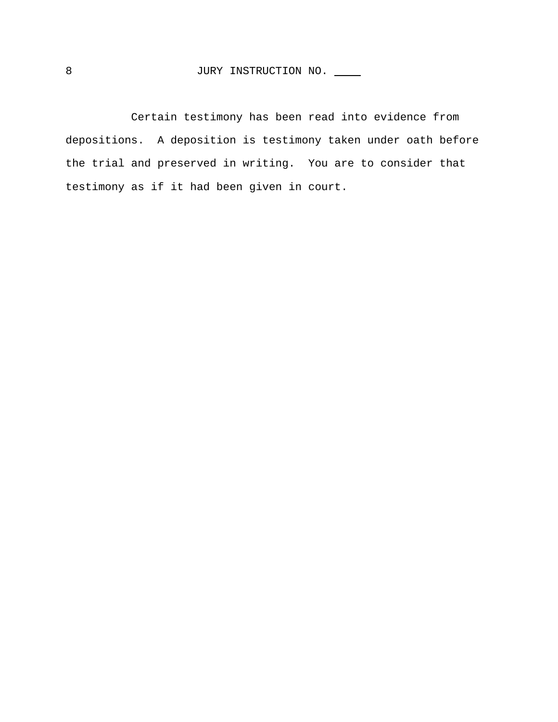Certain testimony has been read into evidence from depositions. A deposition is testimony taken under oath before the trial and preserved in writing. You are to consider that testimony as if it had been given in court.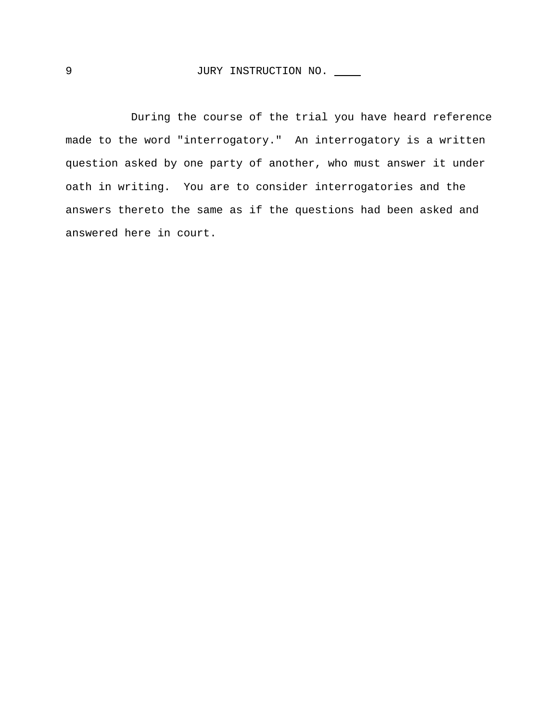During the course of the trial you have heard reference made to the word "interrogatory." An interrogatory is a written question asked by one party of another, who must answer it under oath in writing. You are to consider interrogatories and the answers thereto the same as if the questions had been asked and answered here in court.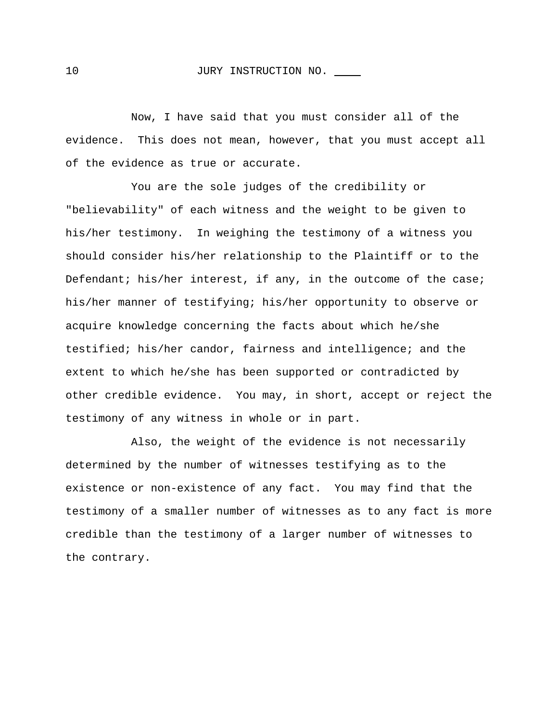### 10 JURY INSTRUCTION NO.

Now, I have said that you must consider all of the evidence. This does not mean, however, that you must accept all of the evidence as true or accurate.

You are the sole judges of the credibility or "believability" of each witness and the weight to be given to his/her testimony. In weighing the testimony of a witness you should consider his/her relationship to the Plaintiff or to the Defendant; his/her interest, if any, in the outcome of the case; his/her manner of testifying; his/her opportunity to observe or acquire knowledge concerning the facts about which he/she testified; his/her candor, fairness and intelligence; and the extent to which he/she has been supported or contradicted by other credible evidence. You may, in short, accept or reject the testimony of any witness in whole or in part.

Also, the weight of the evidence is not necessarily determined by the number of witnesses testifying as to the existence or non-existence of any fact. You may find that the testimony of a smaller number of witnesses as to any fact is more credible than the testimony of a larger number of witnesses to the contrary.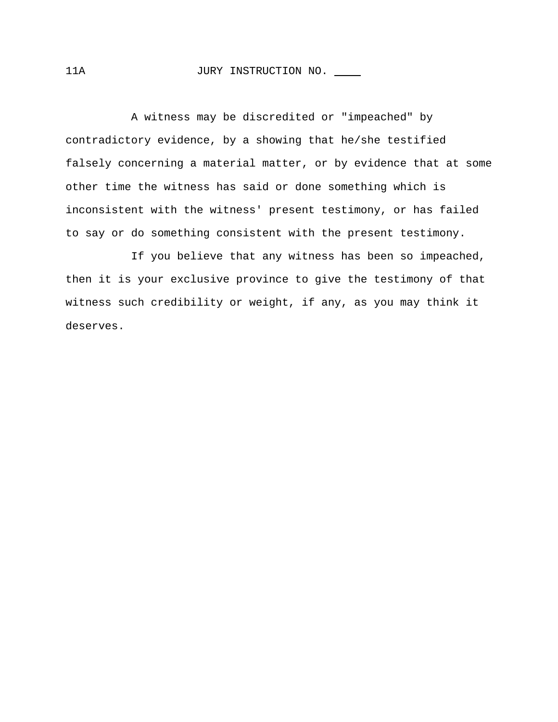## 11A JURY INSTRUCTION NO.

A witness may be discredited or "impeached" by contradictory evidence, by a showing that he/she testified falsely concerning a material matter, or by evidence that at some other time the witness has said or done something which is inconsistent with the witness' present testimony, or has failed to say or do something consistent with the present testimony.

If you believe that any witness has been so impeached, then it is your exclusive province to give the testimony of that witness such credibility or weight, if any, as you may think it deserves.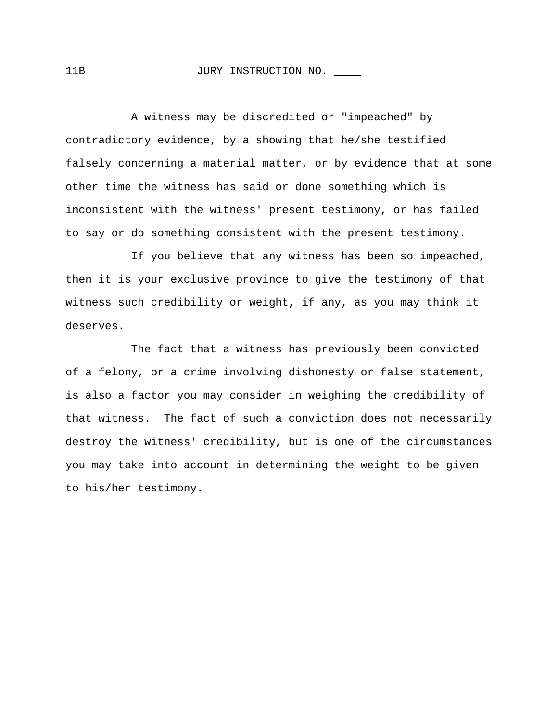#### 11B JURY INSTRUCTION NO.

A witness may be discredited or "impeached" by contradictory evidence, by a showing that he/she testified falsely concerning a material matter, or by evidence that at some other time the witness has said or done something which is inconsistent with the witness' present testimony, or has failed to say or do something consistent with the present testimony.

If you believe that any witness has been so impeached, then it is your exclusive province to give the testimony of that witness such credibility or weight, if any, as you may think it deserves.

The fact that a witness has previously been convicted of a felony, or a crime involving dishonesty or false statement, is also a factor you may consider in weighing the credibility of that witness. The fact of such a conviction does not necessarily destroy the witness' credibility, but is one of the circumstances you may take into account in determining the weight to be given to his/her testimony.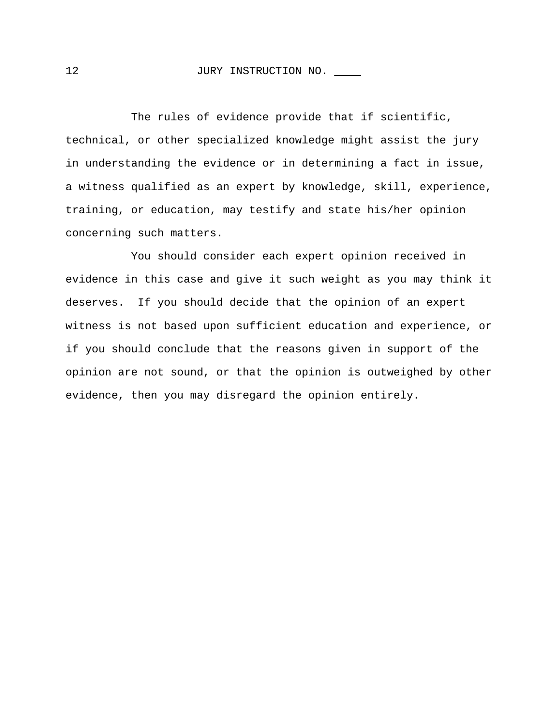## 12 JURY INSTRUCTION NO.

The rules of evidence provide that if scientific, technical, or other specialized knowledge might assist the jury in understanding the evidence or in determining a fact in issue, a witness qualified as an expert by knowledge, skill, experience, training, or education, may testify and state his/her opinion concerning such matters.

You should consider each expert opinion received in evidence in this case and give it such weight as you may think it deserves. If you should decide that the opinion of an expert witness is not based upon sufficient education and experience, or if you should conclude that the reasons given in support of the opinion are not sound, or that the opinion is outweighed by other evidence, then you may disregard the opinion entirely.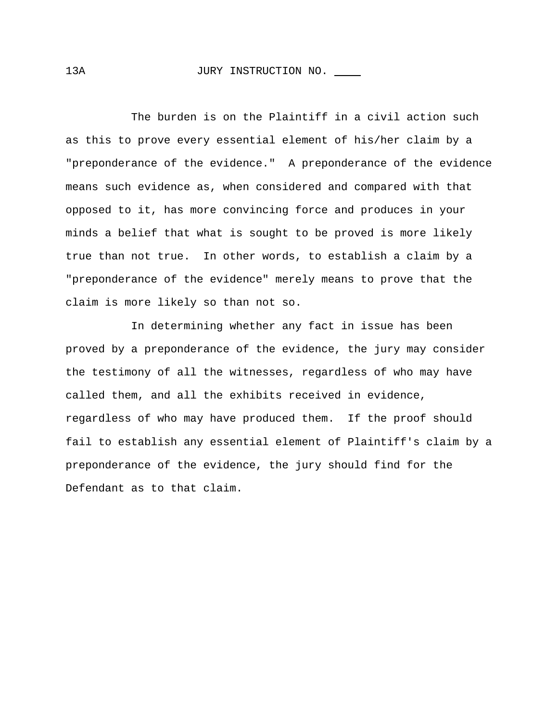The burden is on the Plaintiff in a civil action such as this to prove every essential element of his/her claim by a "preponderance of the evidence." A preponderance of the evidence means such evidence as, when considered and compared with that opposed to it, has more convincing force and produces in your minds a belief that what is sought to be proved is more likely true than not true. In other words, to establish a claim by a "preponderance of the evidence" merely means to prove that the claim is more likely so than not so.

In determining whether any fact in issue has been proved by a preponderance of the evidence, the jury may consider the testimony of all the witnesses, regardless of who may have called them, and all the exhibits received in evidence, regardless of who may have produced them. If the proof should fail to establish any essential element of Plaintiff's claim by a preponderance of the evidence, the jury should find for the Defendant as to that claim.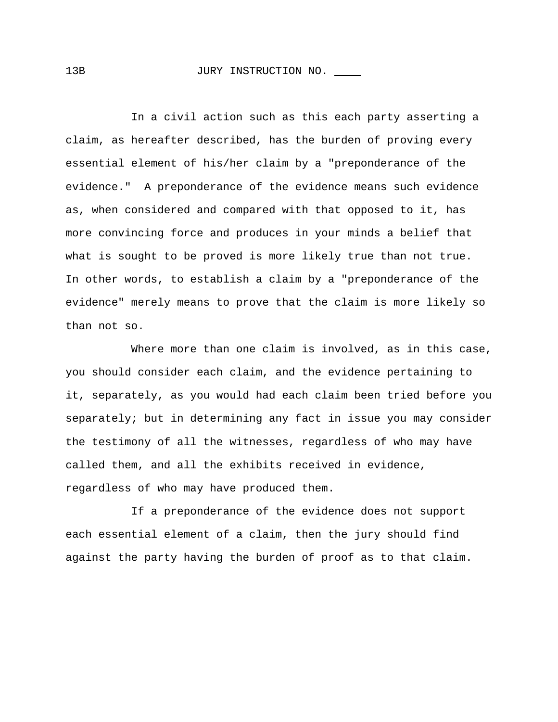### 13B JURY INSTRUCTION NO.

In a civil action such as this each party asserting a claim, as hereafter described, has the burden of proving every essential element of his/her claim by a "preponderance of the evidence." A preponderance of the evidence means such evidence as, when considered and compared with that opposed to it, has more convincing force and produces in your minds a belief that what is sought to be proved is more likely true than not true. In other words, to establish a claim by a "preponderance of the evidence" merely means to prove that the claim is more likely so than not so.

Where more than one claim is involved, as in this case, you should consider each claim, and the evidence pertaining to it, separately, as you would had each claim been tried before you separately; but in determining any fact in issue you may consider the testimony of all the witnesses, regardless of who may have called them, and all the exhibits received in evidence, regardless of who may have produced them.

If a preponderance of the evidence does not support each essential element of a claim, then the jury should find against the party having the burden of proof as to that claim.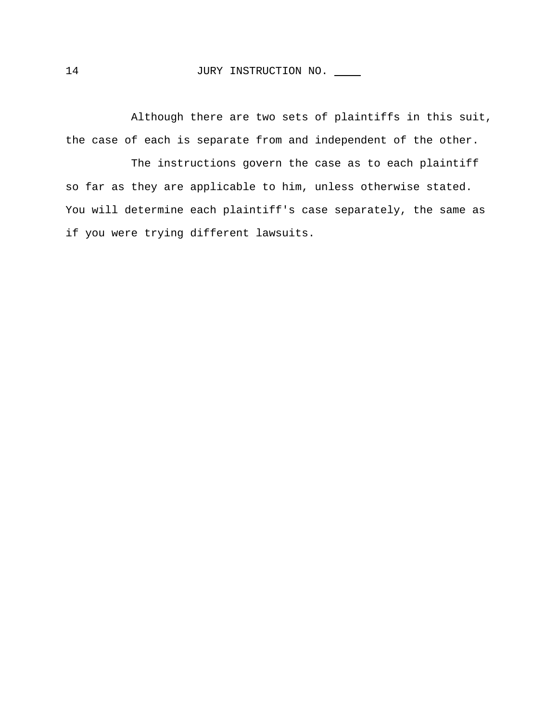Although there are two sets of plaintiffs in this suit, the case of each is separate from and independent of the other.

The instructions govern the case as to each plaintiff so far as they are applicable to him, unless otherwise stated. You will determine each plaintiff's case separately, the same as if you were trying different lawsuits.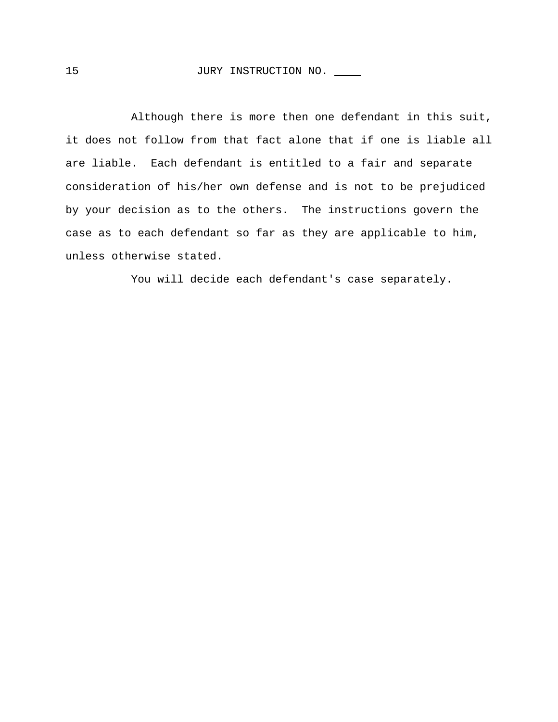Although there is more then one defendant in this suit, it does not follow from that fact alone that if one is liable all are liable. Each defendant is entitled to a fair and separate consideration of his/her own defense and is not to be prejudiced by your decision as to the others. The instructions govern the case as to each defendant so far as they are applicable to him, unless otherwise stated.

You will decide each defendant's case separately.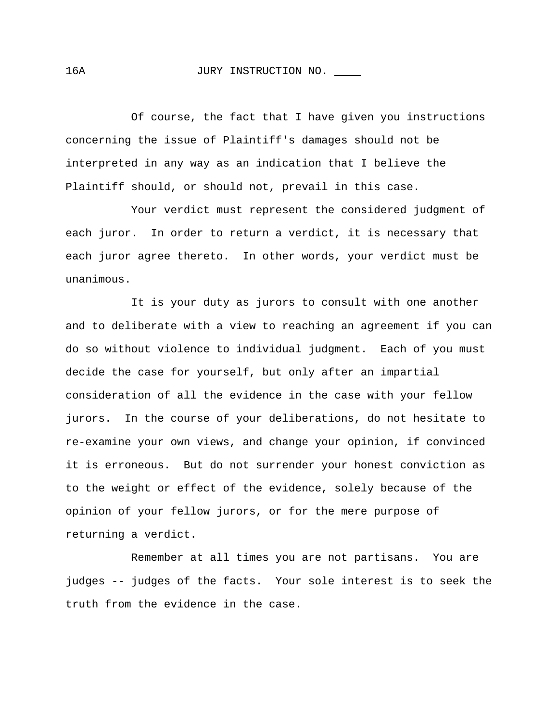Of course, the fact that I have given you instructions concerning the issue of Plaintiff's damages should not be interpreted in any way as an indication that I believe the Plaintiff should, or should not, prevail in this case.

Your verdict must represent the considered judgment of each juror. In order to return a verdict, it is necessary that each juror agree thereto. In other words, your verdict must be unanimous.

It is your duty as jurors to consult with one another and to deliberate with a view to reaching an agreement if you can do so without violence to individual judgment. Each of you must decide the case for yourself, but only after an impartial consideration of all the evidence in the case with your fellow jurors. In the course of your deliberations, do not hesitate to re-examine your own views, and change your opinion, if convinced it is erroneous. But do not surrender your honest conviction as to the weight or effect of the evidence, solely because of the opinion of your fellow jurors, or for the mere purpose of returning a verdict.

Remember at all times you are not partisans. You are judges -- judges of the facts. Your sole interest is to seek the truth from the evidence in the case.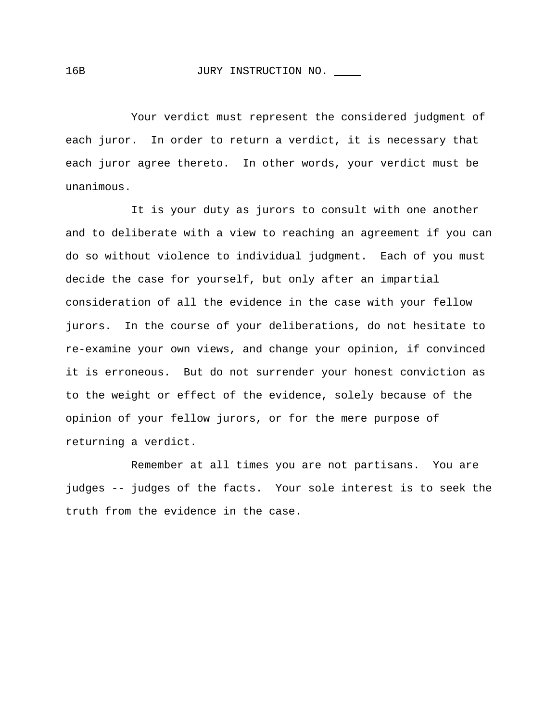Your verdict must represent the considered judgment of each juror. In order to return a verdict, it is necessary that each juror agree thereto. In other words, your verdict must be unanimous.

It is your duty as jurors to consult with one another and to deliberate with a view to reaching an agreement if you can do so without violence to individual judgment. Each of you must decide the case for yourself, but only after an impartial consideration of all the evidence in the case with your fellow jurors. In the course of your deliberations, do not hesitate to re-examine your own views, and change your opinion, if convinced it is erroneous. But do not surrender your honest conviction as to the weight or effect of the evidence, solely because of the opinion of your fellow jurors, or for the mere purpose of returning a verdict.

Remember at all times you are not partisans. You are judges -- judges of the facts. Your sole interest is to seek the truth from the evidence in the case.